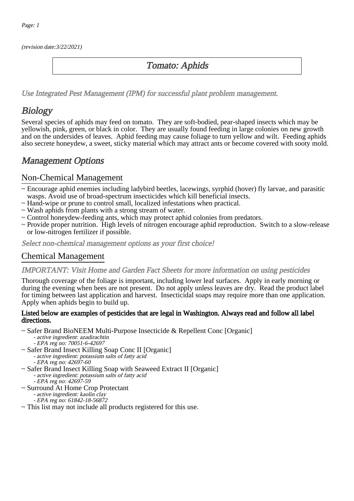(revision date:3/22/2021)

## Tomato: Aphids

[Use Integrated Pest Management \(IPM\) for successful plant problem management.](http://pep.wsu.edu/Home_Garden/H_G_Pesticide_info/urban_Integrated_Pest_Managmen/)

## **Biology**

Several species of aphids may feed on tomato. They are soft-bodied, pear-shaped insects which may be yellowish, pink, green, or black in color. They are usually found feeding in large colonies on new growth and on the undersides of leaves. Aphid feeding may cause foliage to turn yellow and wilt. Feeding aphids also secrete honeydew, a sweet, sticky material which may attract ants or become covered with sooty mold.

## Management Options

### Non-Chemical Management

- ~ Encourage aphid enemies including ladybird beetles, lacewings, syrphid (hover) fly larvae, and parasitic wasps. Avoid use of broad-spectrum insecticides which kill beneficial insects.
- ~ Hand-wipe or prune to control small, localized infestations when practical.
- ~ Wash aphids from plants with a strong stream of water.
- ~ Control honeydew-feeding ants, which may protect aphid colonies from predators.
- ~ Provide proper nutrition. High levels of nitrogen encourage aphid reproduction. Switch to a slow-release or low-nitrogen fertilizer if possible.

Select non-chemical management options as your first choice!

### Chemical Management

IMPORTANT: [Visit Home and Garden Fact Sheets for more information on using pesticides](http://pep.wsu.edu/Home_Garden/H_G_Pesticide_info/)

Thorough coverage of the foliage is important, including lower leaf surfaces. Apply in early morning or during the evening when bees are not present. Do not apply unless leaves are dry. Read the product label for timing between last application and harvest. Insecticidal soaps may require more than one application. Apply when aphids begin to build up.

#### Listed below are examples of pesticides that are legal in Washington. Always read and follow all label directions.

~ Safer Brand BioNEEM Multi-Purpose Insecticide & Repellent Conc [Organic]

- active ingredient: azadirachtin
- EPA reg no: 70051-6-42697
- ~ Safer Brand Insect Killing Soap Conc II [Organic] - active ingredient: potassium salts of fatty acid
	- EPA reg no: 42697-60
- ~ Safer Brand Insect Killing Soap with Seaweed Extract II [Organic] - active ingredient: potassium salts of fatty acid
	- EPA reg no: 42697-59
- ~ Surround At Home Crop Protectant
	- active ingredient: kaolin clay - EPA reg no: 61842-18-56872
- ~ This list may not include all products registered for this use.